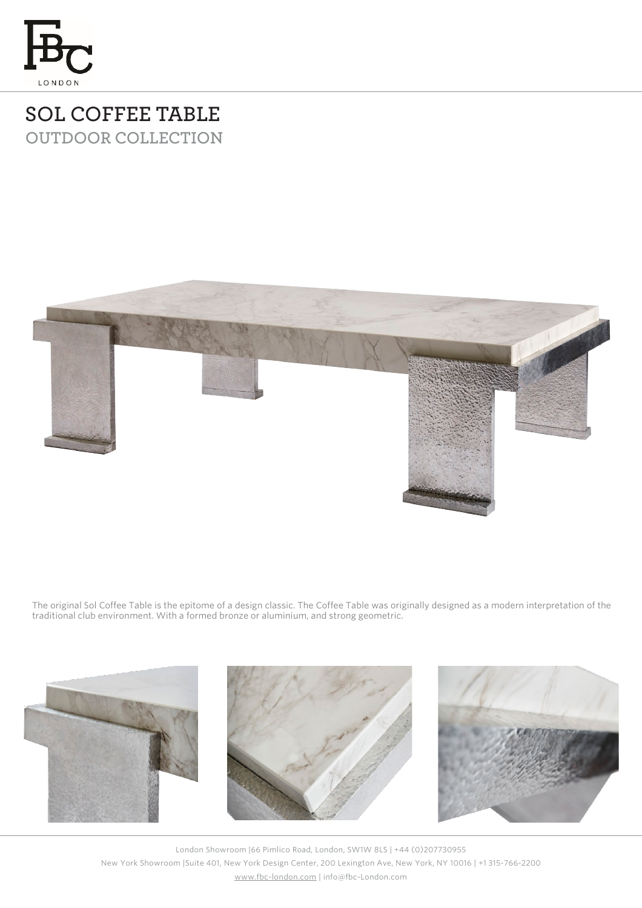

## **SOL COFFEE TABLE OUTDOOR COLLECTION**



The original Sol Coffee Table is the epitome of a design classic. The Coffee Table was originally designed as a modern interpretation of the traditional club environment. With a formed bronze or aluminium, and strong geometric.



London Showroom |66 Pimlico Road, London, SW1W 8LS | +44 (0)207730955 New York Showroom |Suite 401, New York Design Center, 200 Lexington Ave, New York, NY 10016 | +1 315-766-2200 [www.fbc-london.com](http://www.fbc-london.com/) | info@fbc-London.com